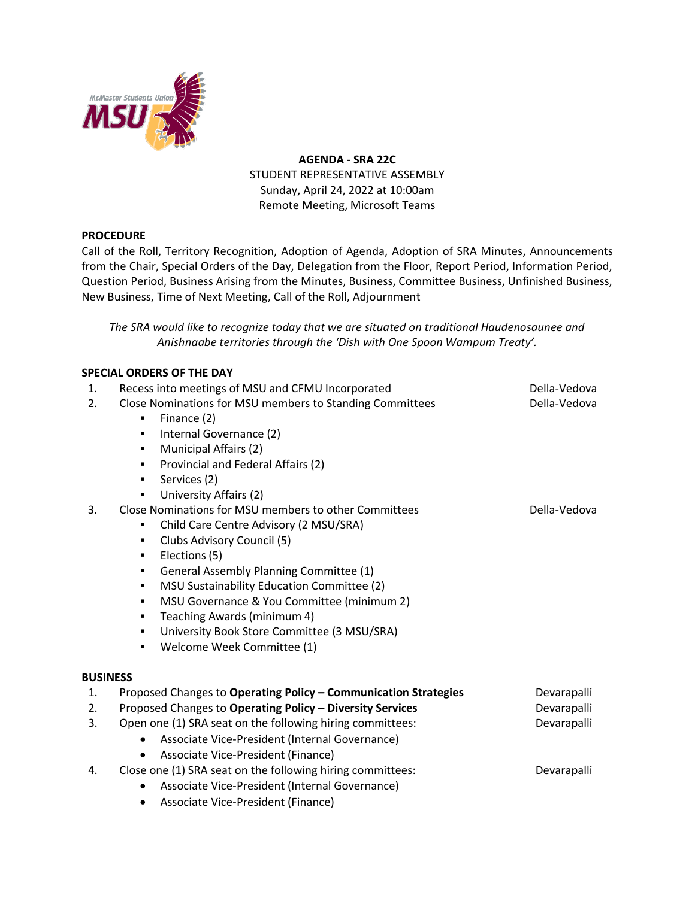

**AGENDA - SRA 22C** STUDENT REPRESENTATIVE ASSEMBLY Sunday, April 24, 2022 at 10:00am Remote Meeting, Microsoft Teams

## **PROCEDURE**

Call of the Roll, Territory Recognition, Adoption of Agenda, Adoption of SRA Minutes, Announcements from the Chair, Special Orders of the Day, Delegation from the Floor, Report Period, Information Period, Question Period, Business Arising from the Minutes, Business, Committee Business, Unfinished Business, New Business, Time of Next Meeting, Call of the Roll, Adjournment

*The SRA would like to recognize today that we are situated on traditional Haudenosaunee and Anishnaabe territories through the 'Dish with One Spoon Wampum Treaty'.*

## **SPECIAL ORDERS OF THE DAY**

| 1.              | Recess into meetings of MSU and CFMU Incorporated               | Della-Vedova |
|-----------------|-----------------------------------------------------------------|--------------|
| 2.              | Close Nominations for MSU members to Standing Committees        | Della-Vedova |
|                 | Finance (2)                                                     |              |
|                 | Internal Governance (2)                                         |              |
|                 | Municipal Affairs (2)<br>٠                                      |              |
|                 | Provincial and Federal Affairs (2)<br>٠                         |              |
|                 | Services (2)<br>٠                                               |              |
|                 | University Affairs (2)                                          |              |
| 3.              | Close Nominations for MSU members to other Committees           | Della-Vedova |
|                 | Child Care Centre Advisory (2 MSU/SRA)                          |              |
|                 | Clubs Advisory Council (5)<br>٠                                 |              |
|                 | Elections (5)<br>٠                                              |              |
|                 | General Assembly Planning Committee (1)<br>٠                    |              |
|                 | MSU Sustainability Education Committee (2)<br>٠                 |              |
|                 | MSU Governance & You Committee (minimum 2)<br>٠                 |              |
|                 | Teaching Awards (minimum 4)<br>٠                                |              |
|                 | University Book Store Committee (3 MSU/SRA)<br>٠                |              |
|                 | Welcome Week Committee (1)                                      |              |
| <b>BUSINESS</b> |                                                                 |              |
| 1.              | Proposed Changes to Operating Policy - Communication Strategies | Devarapalli  |
| 2.              | Proposed Changes to Operating Policy - Diversity Services       | Devarapalli  |
| 3.              | Open one (1) SRA seat on the following hiring committees:       | Devarapalli  |
|                 | Associate Vice-President (Internal Governance)                  |              |
|                 | Associate Vice-President (Finance)                              |              |
| 4.              | Close one (1) SRA seat on the following hiring committees:      | Devarapalli  |
|                 | Associate Vice-President (Internal Governance)                  |              |
|                 |                                                                 |              |

• Associate Vice-President (Finance)